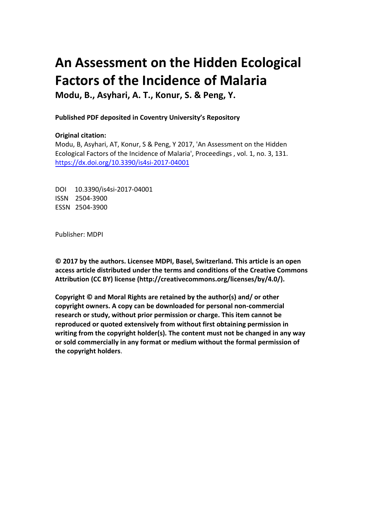# **An Assessment on the Hidden Ecological Factors of the Incidence of Malaria**

**Modu, B., Asyhari, A. T., Konur, S. & Peng, Y.** 

# **Published PDF deposited in Coventry University's Repository**

# **Original citation:**

Modu, B, Asyhari, AT, Konur, S & Peng, Y 2017, 'An Assessment on the Hidden Ecological Factors of the Incidence of Malaria', Proceedings , vol. 1, no. 3, 131. https://dx.doi.org/10.3390/is4si-2017-04001

DOI 10.3390/is4si-2017-04001 ISSN 2504-3900 ESSN 2504-3900

Publisher: MDPI

**© 2017 by the authors. Licensee MDPI, Basel, Switzerland. This article is an open access article distributed under the terms and conditions of the Creative Commons Attribution (CC BY) license (http://creativecommons.org/licenses/by/4.0/).** 

**Copyright © and Moral Rights are retained by the author(s) and/ or other copyright owners. A copy can be downloaded for personal non-commercial research or study, without prior permission or charge. This item cannot be reproduced or quoted extensively from without first obtaining permission in writing from the copyright holder(s). The content must not be changed in any way or sold commercially in any format or medium without the formal permission of the copyright holders**.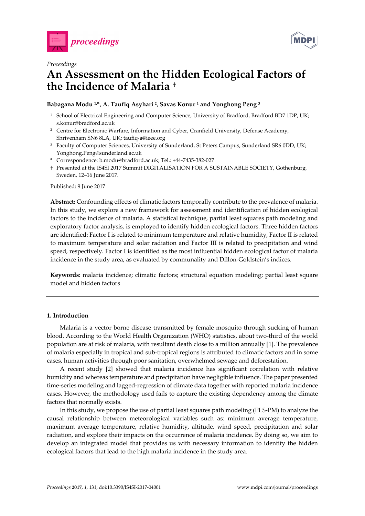



## *Proceedings*

# **An Assessment on the Hidden Ecological Factors of the Incidence of Malaria †**

### **Babagana Modu 1,\*, A. Taufiq Asyhari 2, Savas Konur 1 and Yonghong Peng 3**

- <sup>1</sup> School of Electrical Engineering and Computer Science, University of Bradford, Bradford BD7 1DP, UK; s.konur@bradford.ac.uk
- <sup>2</sup> Centre for Electronic Warfare, Information and Cyber, Cranfield University, Defense Academy, Shrivenham SN6 8LA, UK; taufiq-a@ieee.org
- <sup>3</sup> Faculty of Computer Sciences, University of Sunderland, St Peters Campus, Sunderland SR6 0DD, UK; Yonghong.Peng@sunderland.ac.uk
- \* Correspondence: b.modu@bradford.ac.uk; Tel.: +44-7435-382-027
- † Presented at the IS4SI 2017 Summit DIGITALISATION FOR A SUSTAINABLE SOCIETY, Gothenburg, Sweden, 12–16 June 2017.

Published: 9 June 2017

**Abstract:** Confounding effects of climatic factors temporally contribute to the prevalence of malaria. In this study, we explore a new framework for assessment and identification of hidden ecological factors to the incidence of malaria. A statistical technique, partial least squares path modeling and exploratory factor analysis, is employed to identify hidden ecological factors. Three hidden factors are identified: Factor I is related to minimum temperature and relative humidity, Factor II is related to maximum temperature and solar radiation and Factor III is related to precipitation and wind speed, respectively. Factor I is identified as the most influential hidden ecological factor of malaria incidence in the study area, as evaluated by communality and Dillon-Goldstein's indices.

**Keywords:** malaria incidence; climatic factors; structural equation modeling; partial least square model and hidden factors

#### **1. Introduction**

Malaria is a vector borne disease transmitted by female mosquito through sucking of human blood. According to the World Health Organization (WHO) statistics, about two-third of the world population are at risk of malaria, with resultant death close to a million annually [1]. The prevalence of malaria especially in tropical and sub-tropical regions is attributed to climatic factors and in some cases, human activities through poor sanitation, overwhelmed sewage and deforestation.

A recent study [2] showed that malaria incidence has significant correlation with relative humidity and whereas temperature and precipitation have negligible influence. The paper presented time-series modeling and lagged-regression of climate data together with reported malaria incidence cases. However, the methodology used fails to capture the existing dependency among the climate factors that normally exists.

In this study, we propose the use of partial least squares path modeling (PLS-PM) to analyze the causal relationship between meteorological variables such as: minimum average temperature, maximum average temperature, relative humidity, altitude, wind speed, precipitation and solar radiation, and explore their impacts on the occurrence of malaria incidence. By doing so, we aim to develop an integrated model that provides us with necessary information to identify the hidden ecological factors that lead to the high malaria incidence in the study area.